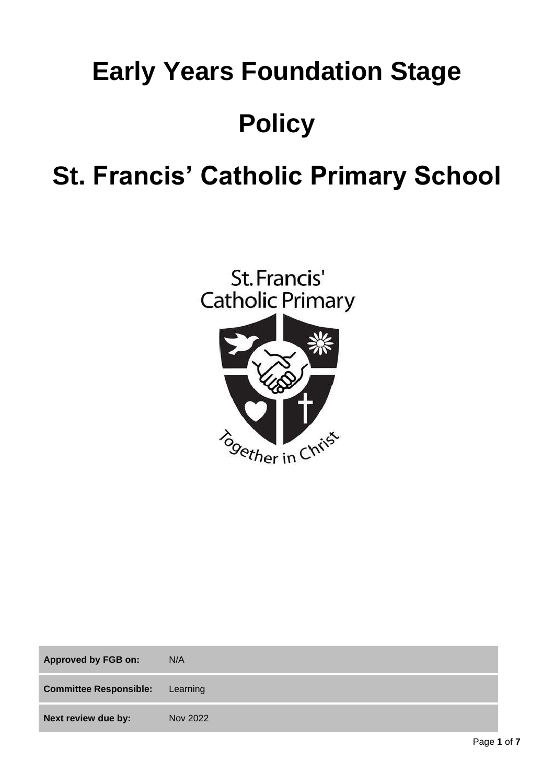# **Early Years Foundation Stage Policy**

# **St. Francis' Catholic Primary School**



| <b>Approved by FGB on:</b>    | N/A      |
|-------------------------------|----------|
| <b>Committee Responsible:</b> | Learning |
| Next review due by:           | Nov 2022 |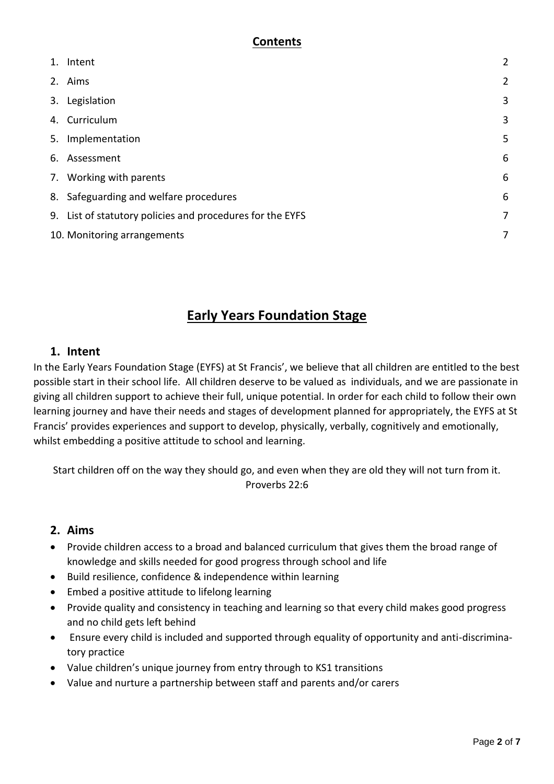# **Contents**

| 1. | Intent                                                    | $\overline{2}$ |  |
|----|-----------------------------------------------------------|----------------|--|
|    | 2. Aims                                                   | $\overline{2}$ |  |
| 3. | Legislation                                               | 3              |  |
|    | 4. Curriculum                                             | 3              |  |
|    | 5. Implementation                                         | 5              |  |
|    | 6. Assessment                                             | 6              |  |
|    | 7. Working with parents                                   | 6              |  |
|    | 8. Safeguarding and welfare procedures                    | 6              |  |
|    | 9. List of statutory policies and procedures for the EYFS | 7              |  |
|    | $\overline{7}$<br>10. Monitoring arrangements             |                |  |
|    |                                                           |                |  |

# **Early Years Foundation Stage**

## **1. Intent**

In the Early Years Foundation Stage (EYFS) at St Francis', we believe that all children are entitled to the best possible start in their school life. All children deserve to be valued as individuals, and we are passionate in giving all children support to achieve their full, unique potential. In order for each child to follow their own learning journey and have their needs and stages of development planned for appropriately, the EYFS at St Francis' provides experiences and support to develop, physically, verbally, cognitively and emotionally, whilst embedding a positive attitude to school and learning.

Start children off on the way they should go, and even when they are old they will not turn from it. Proverbs 22:6

# **2. Aims**

- Provide children access to a broad and balanced curriculum that gives them the broad range of knowledge and skills needed for good progress through school and life
- Build resilience, confidence & independence within learning
- Embed a positive attitude to lifelong learning
- Provide quality and consistency in teaching and learning so that every child makes good progress and no child gets left behind
- Ensure every child is included and supported through equality of opportunity and anti-discriminatory practice
- Value children's unique journey from entry through to KS1 transitions
- Value and nurture a partnership between staff and parents and/or carers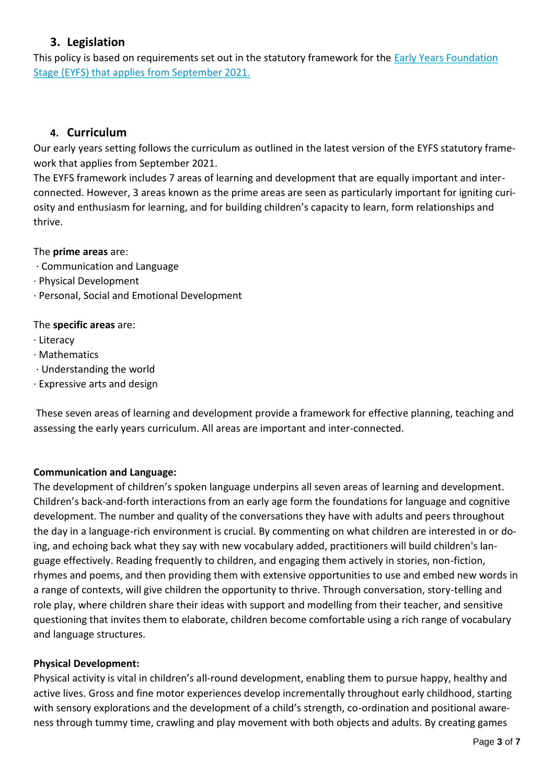# **3. Legislation**

This policy is based on requirements set out in the statutory framework for the [Early Years Foundation](https://www.gov.uk/government/publications/early-years-foundation-stage-framework--2)  [Stage \(EYFS\) that applies from September 2021.](https://www.gov.uk/government/publications/early-years-foundation-stage-framework--2)

# **4. Curriculum**

Our early years setting follows the curriculum as outlined in the latest version of the EYFS statutory framework that applies from September 2021.

The EYFS framework includes 7 areas of learning and development that are equally important and interconnected. However, 3 areas known as the prime areas are seen as particularly important for igniting curiosity and enthusiasm for learning, and for building children's capacity to learn, form relationships and thrive.

#### The **prime areas** are:

- · Communication and Language
- · Physical Development
- · Personal, Social and Emotional Development

#### The **specific areas** are:

- · Literacy
- · Mathematics
- · Understanding the world
- · Expressive arts and design

These seven areas of learning and development provide a framework for effective planning, teaching and assessing the early years curriculum. All areas are important and inter-connected.

#### **Communication and Language:**

The development of children's spoken language underpins all seven areas of learning and development. Children's back-and-forth interactions from an early age form the foundations for language and cognitive development. The number and quality of the conversations they have with adults and peers throughout the day in a language-rich environment is crucial. By commenting on what children are interested in or doing, and echoing back what they say with new vocabulary added, practitioners will build children's language effectively. Reading frequently to children, and engaging them actively in stories, non-fiction, rhymes and poems, and then providing them with extensive opportunities to use and embed new words in a range of contexts, will give children the opportunity to thrive. Through conversation, story-telling and role play, where children share their ideas with support and modelling from their teacher, and sensitive questioning that invites them to elaborate, children become comfortable using a rich range of vocabulary and language structures.

#### **Physical Development:**

Physical activity is vital in children's all-round development, enabling them to pursue happy, healthy and active lives. Gross and fine motor experiences develop incrementally throughout early childhood, starting with sensory explorations and the development of a child's strength, co-ordination and positional awareness through tummy time, crawling and play movement with both objects and adults. By creating games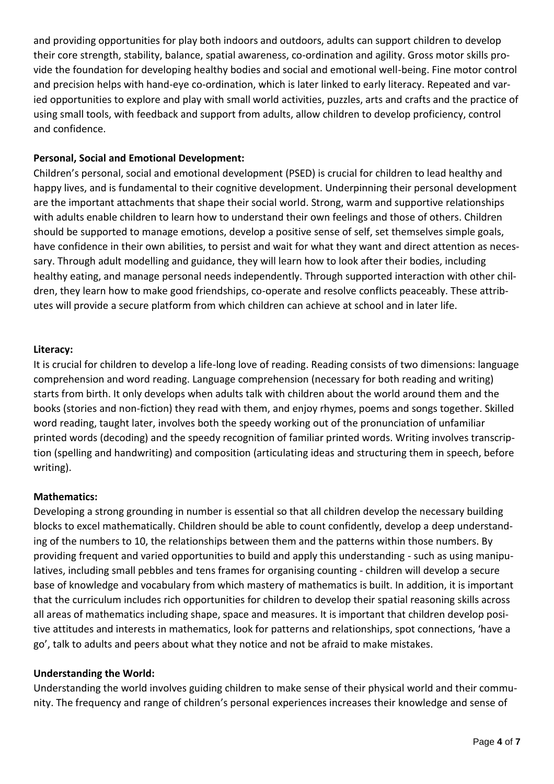and providing opportunities for play both indoors and outdoors, adults can support children to develop their core strength, stability, balance, spatial awareness, co-ordination and agility. Gross motor skills provide the foundation for developing healthy bodies and social and emotional well-being. Fine motor control and precision helps with hand-eye co-ordination, which is later linked to early literacy. Repeated and varied opportunities to explore and play with small world activities, puzzles, arts and crafts and the practice of using small tools, with feedback and support from adults, allow children to develop proficiency, control and confidence.

#### **Personal, Social and Emotional Development:**

Children's personal, social and emotional development (PSED) is crucial for children to lead healthy and happy lives, and is fundamental to their cognitive development. Underpinning their personal development are the important attachments that shape their social world. Strong, warm and supportive relationships with adults enable children to learn how to understand their own feelings and those of others. Children should be supported to manage emotions, develop a positive sense of self, set themselves simple goals, have confidence in their own abilities, to persist and wait for what they want and direct attention as necessary. Through adult modelling and guidance, they will learn how to look after their bodies, including healthy eating, and manage personal needs independently. Through supported interaction with other children, they learn how to make good friendships, co-operate and resolve conflicts peaceably. These attributes will provide a secure platform from which children can achieve at school and in later life.

#### **Literacy:**

It is crucial for children to develop a life-long love of reading. Reading consists of two dimensions: language comprehension and word reading. Language comprehension (necessary for both reading and writing) starts from birth. It only develops when adults talk with children about the world around them and the books (stories and non-fiction) they read with them, and enjoy rhymes, poems and songs together. Skilled word reading, taught later, involves both the speedy working out of the pronunciation of unfamiliar printed words (decoding) and the speedy recognition of familiar printed words. Writing involves transcription (spelling and handwriting) and composition (articulating ideas and structuring them in speech, before writing).

#### **Mathematics:**

Developing a strong grounding in number is essential so that all children develop the necessary building blocks to excel mathematically. Children should be able to count confidently, develop a deep understanding of the numbers to 10, the relationships between them and the patterns within those numbers. By providing frequent and varied opportunities to build and apply this understanding - such as using manipulatives, including small pebbles and tens frames for organising counting - children will develop a secure base of knowledge and vocabulary from which mastery of mathematics is built. In addition, it is important that the curriculum includes rich opportunities for children to develop their spatial reasoning skills across all areas of mathematics including shape, space and measures. It is important that children develop positive attitudes and interests in mathematics, look for patterns and relationships, spot connections, 'have a go', talk to adults and peers about what they notice and not be afraid to make mistakes.

#### **Understanding the World:**

Understanding the world involves guiding children to make sense of their physical world and their community. The frequency and range of children's personal experiences increases their knowledge and sense of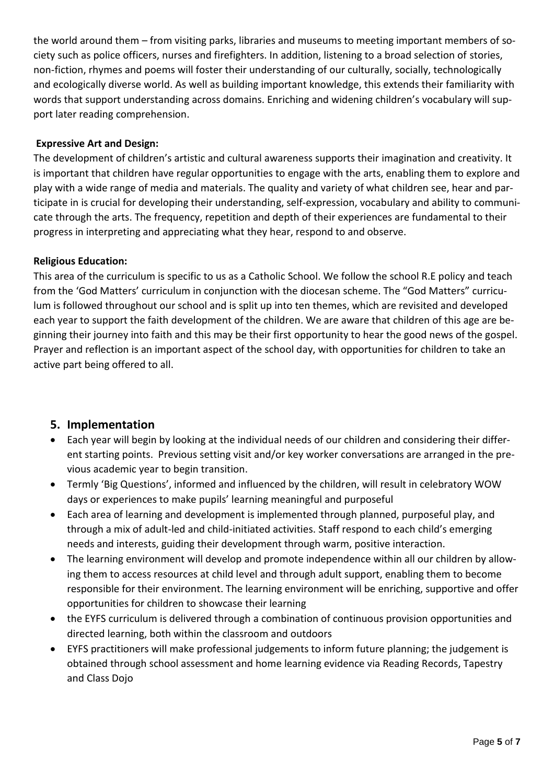the world around them – from visiting parks, libraries and museums to meeting important members of society such as police officers, nurses and firefighters. In addition, listening to a broad selection of stories, non-fiction, rhymes and poems will foster their understanding of our culturally, socially, technologically and ecologically diverse world. As well as building important knowledge, this extends their familiarity with words that support understanding across domains. Enriching and widening children's vocabulary will support later reading comprehension.

#### **Expressive Art and Design:**

The development of children's artistic and cultural awareness supports their imagination and creativity. It is important that children have regular opportunities to engage with the arts, enabling them to explore and play with a wide range of media and materials. The quality and variety of what children see, hear and participate in is crucial for developing their understanding, self-expression, vocabulary and ability to communicate through the arts. The frequency, repetition and depth of their experiences are fundamental to their progress in interpreting and appreciating what they hear, respond to and observe.

#### **Religious Education:**

This area of the curriculum is specific to us as a Catholic School. We follow the school R.E policy and teach from the 'God Matters' curriculum in conjunction with the diocesan scheme. The "God Matters" curriculum is followed throughout our school and is split up into ten themes, which are revisited and developed each year to support the faith development of the children. We are aware that children of this age are beginning their journey into faith and this may be their first opportunity to hear the good news of the gospel. Prayer and reflection is an important aspect of the school day, with opportunities for children to take an active part being offered to all.

#### **5. Implementation**

- Each year will begin by looking at the individual needs of our children and considering their different starting points. Previous setting visit and/or key worker conversations are arranged in the previous academic year to begin transition.
- Termly 'Big Questions', informed and influenced by the children, will result in celebratory WOW days or experiences to make pupils' learning meaningful and purposeful
- Each area of learning and development is implemented through planned, purposeful play, and through a mix of adult-led and child-initiated activities. Staff respond to each child's emerging needs and interests, guiding their development through warm, positive interaction.
- The learning environment will develop and promote independence within all our children by allowing them to access resources at child level and through adult support, enabling them to become responsible for their environment. The learning environment will be enriching, supportive and offer opportunities for children to showcase their learning
- the EYFS curriculum is delivered through a combination of continuous provision opportunities and directed learning, both within the classroom and outdoors
- EYFS practitioners will make professional judgements to inform future planning; the judgement is obtained through school assessment and home learning evidence via Reading Records, Tapestry and Class Dojo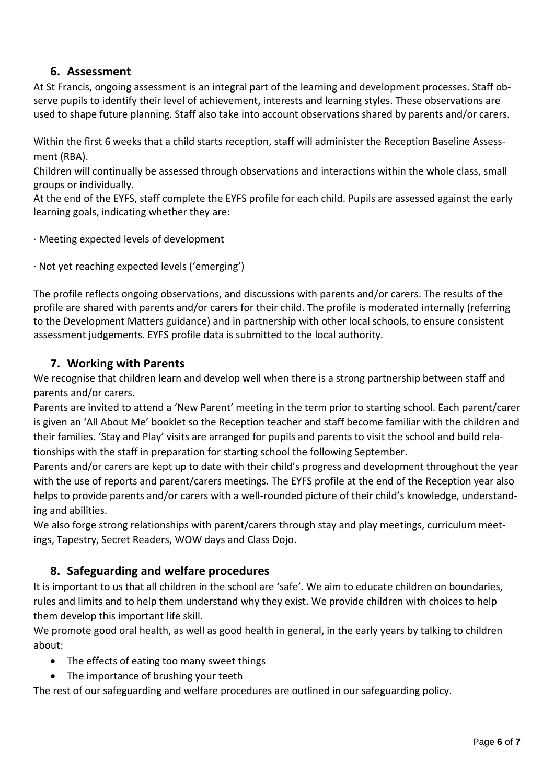# **6. Assessment**

At St Francis, ongoing assessment is an integral part of the learning and development processes. Staff observe pupils to identify their level of achievement, interests and learning styles. These observations are used to shape future planning. Staff also take into account observations shared by parents and/or carers.

Within the first 6 weeks that a child starts reception, staff will administer the Reception Baseline Assessment (RBA).

Children will continually be assessed through observations and interactions within the whole class, small groups or individually.

At the end of the EYFS, staff complete the EYFS profile for each child. Pupils are assessed against the early learning goals, indicating whether they are:

· Meeting expected levels of development

· Not yet reaching expected levels ('emerging')

The profile reflects ongoing observations, and discussions with parents and/or carers. The results of the profile are shared with parents and/or carers for their child. The profile is moderated internally (referring to the Development Matters guidance) and in partnership with other local schools, to ensure consistent assessment judgements. EYFS profile data is submitted to the local authority.

#### **7. Working with Parents**

We recognise that children learn and develop well when there is a strong partnership between staff and parents and/or carers.

Parents are invited to attend a 'New Parent' meeting in the term prior to starting school. Each parent/carer is given an 'All About Me' booklet so the Reception teacher and staff become familiar with the children and their families. 'Stay and Play' visits are arranged for pupils and parents to visit the school and build relationships with the staff in preparation for starting school the following September.

Parents and/or carers are kept up to date with their child's progress and development throughout the year with the use of reports and parent/carers meetings. The EYFS profile at the end of the Reception year also helps to provide parents and/or carers with a well-rounded picture of their child's knowledge, understanding and abilities.

We also forge strong relationships with parent/carers through stay and play meetings, curriculum meetings, Tapestry, Secret Readers, WOW days and Class Dojo.

# **8. Safeguarding and welfare procedures**

It is important to us that all children in the school are 'safe'. We aim to educate children on boundaries, rules and limits and to help them understand why they exist. We provide children with choices to help them develop this important life skill.

We promote good oral health, as well as good health in general, in the early years by talking to children about:

- The effects of eating too many sweet things
- The importance of brushing your teeth

The rest of our safeguarding and welfare procedures are outlined in our safeguarding policy.